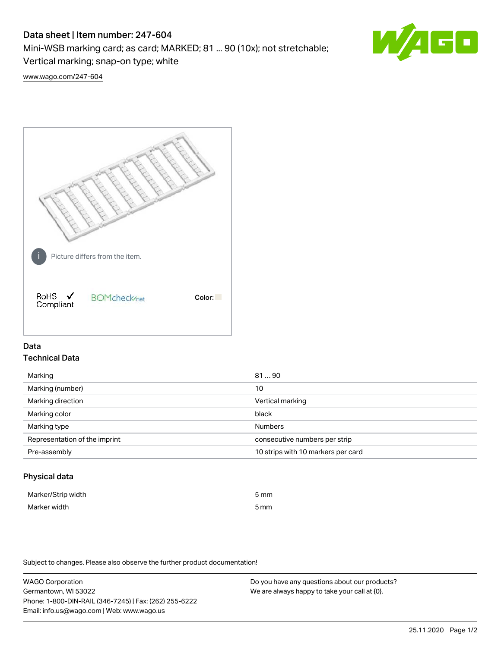## Data sheet | Item number: 247-604

Mini-WSB marking card; as card; MARKED; 81 ... 90 (10x); not stretchable;

Vertical marking; snap-on type; white

60 **W/4** 

[www.wago.com/247-604](http://www.wago.com/247-604)



# Data Technical Data

| Marking                       | 8190                               |
|-------------------------------|------------------------------------|
| Marking (number)              | 10                                 |
| Marking direction             | Vertical marking                   |
| Marking color                 | black                              |
| Marking type                  | <b>Numbers</b>                     |
| Representation of the imprint | consecutive numbers per strip      |
| Pre-assembly                  | 10 strips with 10 markers per card |
|                               |                                    |

## Physical data

| Marker/Strip width | 5 mm                 |
|--------------------|----------------------|
| Marker width       | -<br>5 <sub>mm</sub> |

Subject to changes. Please also observe the further product documentation!

WAGO Corporation Germantown, WI 53022 Phone: 1-800-DIN-RAIL (346-7245) | Fax: (262) 255-6222 Email: info.us@wago.com | Web: www.wago.us Do you have any questions about our products? We are always happy to take your call at {0}.